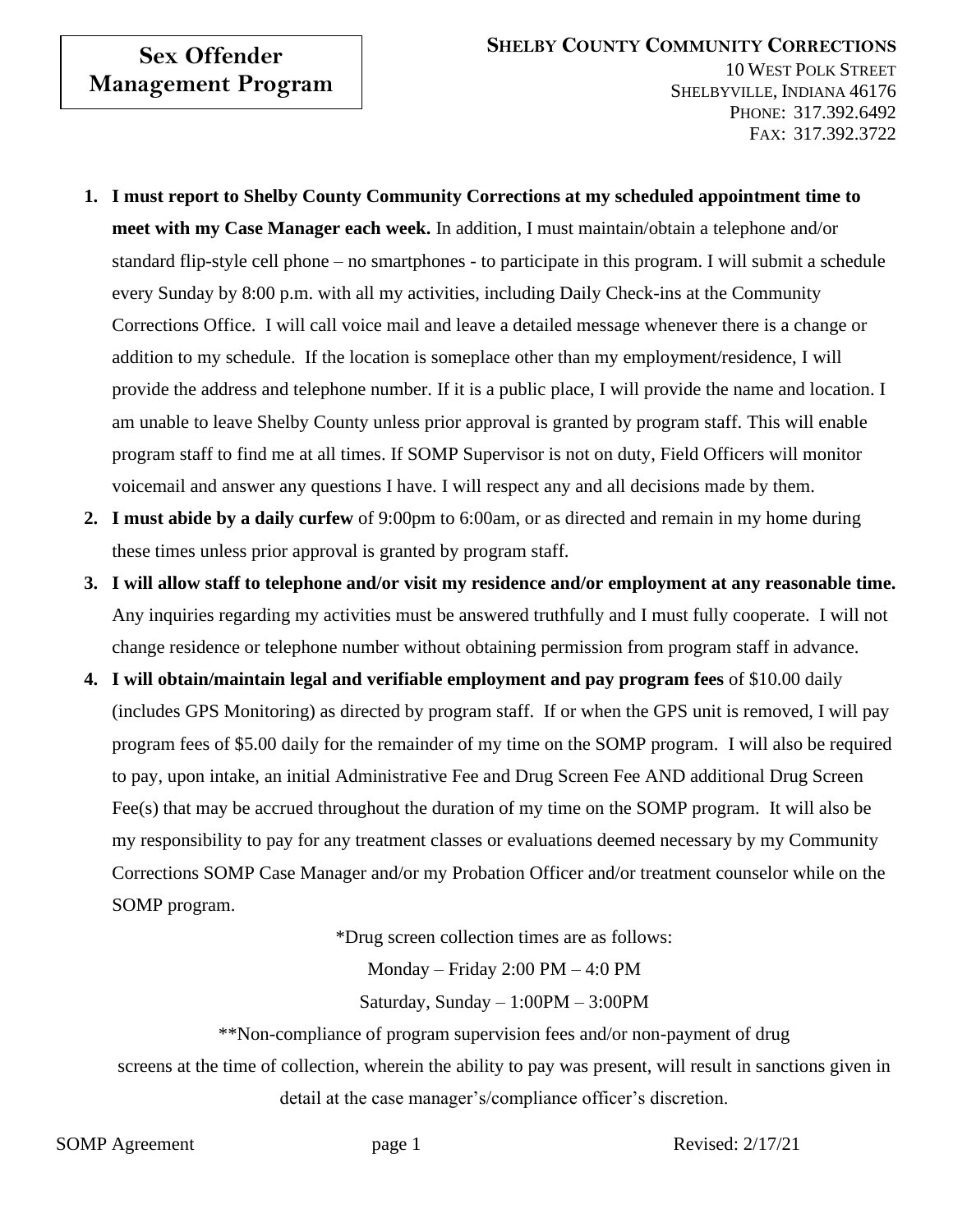## **Sex Offender Management Program**

- **1. I must report to Shelby County Community Corrections at my scheduled appointment time to meet with my Case Manager each week.** In addition, I must maintain/obtain a telephone and/or standard flip-style cell phone – no smartphones - to participate in this program. I will submit a schedule every Sunday by 8:00 p.m. with all my activities, including Daily Check-ins at the Community Corrections Office. I will call voice mail and leave a detailed message whenever there is a change or addition to my schedule. If the location is someplace other than my employment/residence, I will provide the address and telephone number. If it is a public place, I will provide the name and location. I am unable to leave Shelby County unless prior approval is granted by program staff. This will enable program staff to find me at all times. If SOMP Supervisor is not on duty, Field Officers will monitor voicemail and answer any questions I have. I will respect any and all decisions made by them.
- **2. I must abide by a daily curfew** of 9:00pm to 6:00am, or as directed and remain in my home during these times unless prior approval is granted by program staff.
- **3. I will allow staff to telephone and/or visit my residence and/or employment at any reasonable time.**  Any inquiries regarding my activities must be answered truthfully and I must fully cooperate. I will not change residence or telephone number without obtaining permission from program staff in advance.
- **4. I will obtain/maintain legal and verifiable employment and pay program fees** of \$10.00 daily (includes GPS Monitoring) as directed by program staff. If or when the GPS unit is removed, I will pay program fees of \$5.00 daily for the remainder of my time on the SOMP program. I will also be required to pay, upon intake, an initial Administrative Fee and Drug Screen Fee AND additional Drug Screen Fee(s) that may be accrued throughout the duration of my time on the SOMP program. It will also be my responsibility to pay for any treatment classes or evaluations deemed necessary by my Community Corrections SOMP Case Manager and/or my Probation Officer and/or treatment counselor while on the SOMP program.

\*Drug screen collection times are as follows:

Monday – Friday 2:00 PM – 4:0 PM

Saturday, Sunday – 1:00PM – 3:00PM

\*\*Non-compliance of program supervision fees and/or non-payment of drug

screens at the time of collection, wherein the ability to pay was present, will result in sanctions given in detail at the case manager's/compliance officer's discretion.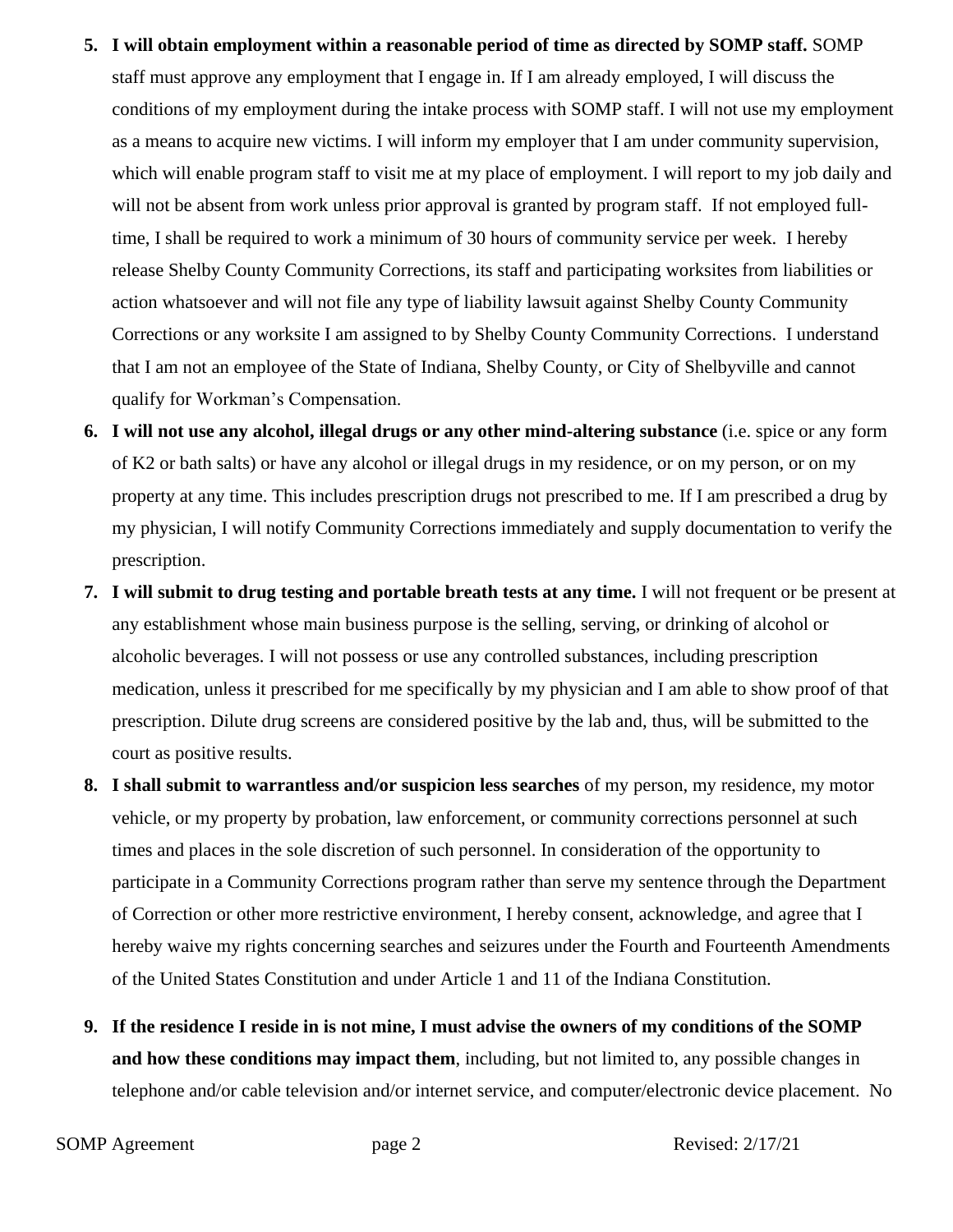- **5. I will obtain employment within a reasonable period of time as directed by SOMP staff.** SOMP staff must approve any employment that I engage in. If I am already employed, I will discuss the conditions of my employment during the intake process with SOMP staff. I will not use my employment as a means to acquire new victims. I will inform my employer that I am under community supervision, which will enable program staff to visit me at my place of employment. I will report to my job daily and will not be absent from work unless prior approval is granted by program staff. If not employed fulltime, I shall be required to work a minimum of 30 hours of community service per week. I hereby release Shelby County Community Corrections, its staff and participating worksites from liabilities or action whatsoever and will not file any type of liability lawsuit against Shelby County Community Corrections or any worksite I am assigned to by Shelby County Community Corrections. I understand that I am not an employee of the State of Indiana, Shelby County, or City of Shelbyville and cannot qualify for Workman's Compensation.
- **6. I will not use any alcohol, illegal drugs or any other mind-altering substance** (i.e. spice or any form of K2 or bath salts) or have any alcohol or illegal drugs in my residence, or on my person, or on my property at any time. This includes prescription drugs not prescribed to me. If I am prescribed a drug by my physician, I will notify Community Corrections immediately and supply documentation to verify the prescription.
- **7. I will submit to drug testing and portable breath tests at any time.** I will not frequent or be present at any establishment whose main business purpose is the selling, serving, or drinking of alcohol or alcoholic beverages. I will not possess or use any controlled substances, including prescription medication, unless it prescribed for me specifically by my physician and I am able to show proof of that prescription. Dilute drug screens are considered positive by the lab and, thus, will be submitted to the court as positive results.
- **8. I shall submit to warrantless and/or suspicion less searches** of my person, my residence, my motor vehicle, or my property by probation, law enforcement, or community corrections personnel at such times and places in the sole discretion of such personnel. In consideration of the opportunity to participate in a Community Corrections program rather than serve my sentence through the Department of Correction or other more restrictive environment, I hereby consent, acknowledge, and agree that I hereby waive my rights concerning searches and seizures under the Fourth and Fourteenth Amendments of the United States Constitution and under Article 1 and 11 of the Indiana Constitution.
- **9. If the residence I reside in is not mine, I must advise the owners of my conditions of the SOMP and how these conditions may impact them**, including, but not limited to, any possible changes in telephone and/or cable television and/or internet service, and computer/electronic device placement. No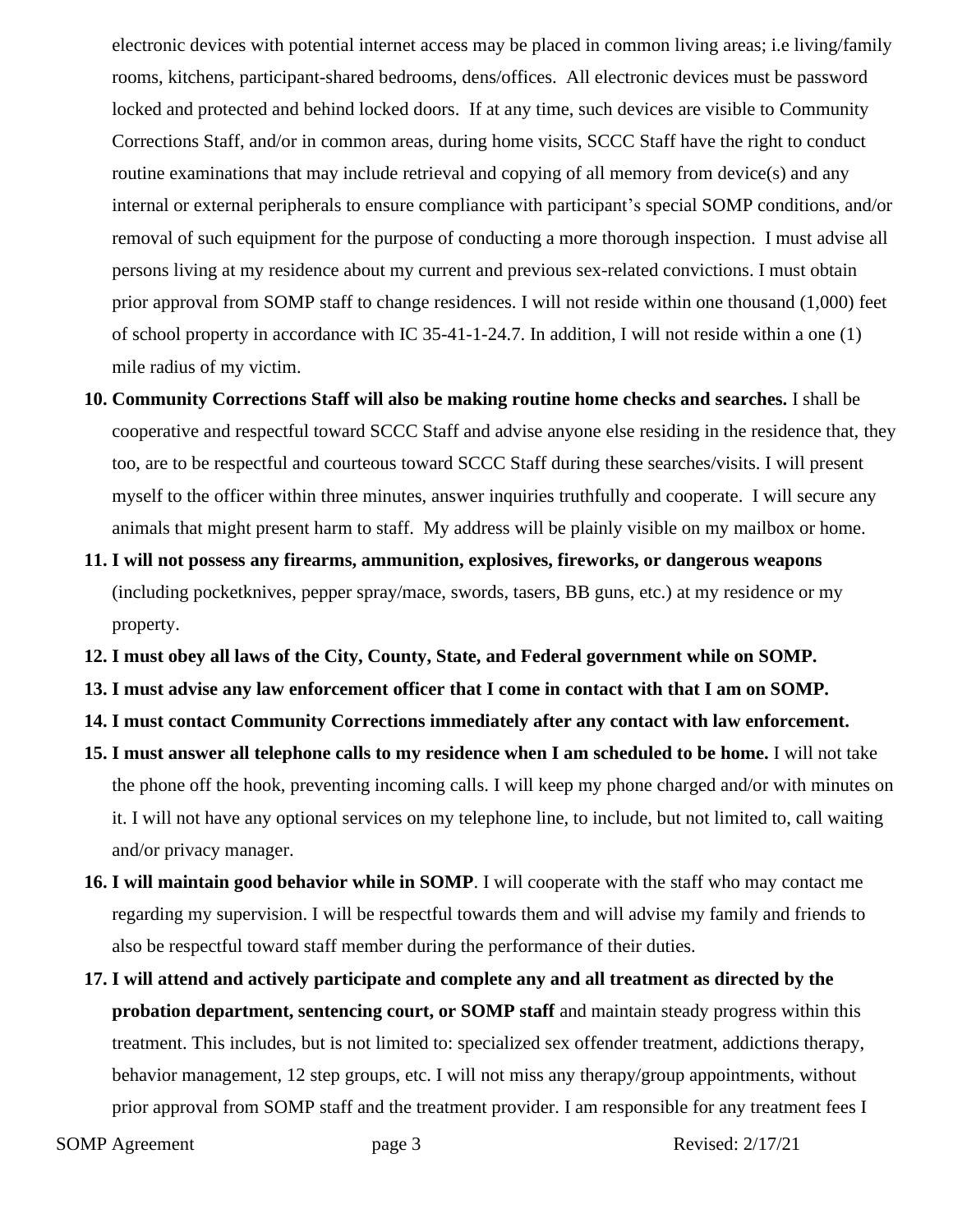electronic devices with potential internet access may be placed in common living areas; i.e living/family rooms, kitchens, participant-shared bedrooms, dens/offices. All electronic devices must be password locked and protected and behind locked doors. If at any time, such devices are visible to Community Corrections Staff, and/or in common areas, during home visits, SCCC Staff have the right to conduct routine examinations that may include retrieval and copying of all memory from device(s) and any internal or external peripherals to ensure compliance with participant's special SOMP conditions, and/or removal of such equipment for the purpose of conducting a more thorough inspection. I must advise all persons living at my residence about my current and previous sex-related convictions. I must obtain prior approval from SOMP staff to change residences. I will not reside within one thousand (1,000) feet of school property in accordance with IC 35-41-1-24.7. In addition, I will not reside within a one (1) mile radius of my victim.

- **10. Community Corrections Staff will also be making routine home checks and searches.** I shall be cooperative and respectful toward SCCC Staff and advise anyone else residing in the residence that, they too, are to be respectful and courteous toward SCCC Staff during these searches/visits. I will present myself to the officer within three minutes, answer inquiries truthfully and cooperate. I will secure any animals that might present harm to staff. My address will be plainly visible on my mailbox or home.
- **11. I will not possess any firearms, ammunition, explosives, fireworks, or dangerous weapons** (including pocketknives, pepper spray/mace, swords, tasers, BB guns, etc.) at my residence or my property.
- **12. I must obey all laws of the City, County, State, and Federal government while on SOMP.**
- **13. I must advise any law enforcement officer that I come in contact with that I am on SOMP.**
- **14. I must contact Community Corrections immediately after any contact with law enforcement.**
- **15. I must answer all telephone calls to my residence when I am scheduled to be home.** I will not take the phone off the hook, preventing incoming calls. I will keep my phone charged and/or with minutes on it. I will not have any optional services on my telephone line, to include, but not limited to, call waiting and/or privacy manager.
- **16. I will maintain good behavior while in SOMP**. I will cooperate with the staff who may contact me regarding my supervision. I will be respectful towards them and will advise my family and friends to also be respectful toward staff member during the performance of their duties.
- **17. I will attend and actively participate and complete any and all treatment as directed by the probation department, sentencing court, or SOMP staff** and maintain steady progress within this treatment. This includes, but is not limited to: specialized sex offender treatment, addictions therapy, behavior management, 12 step groups, etc. I will not miss any therapy/group appointments, without prior approval from SOMP staff and the treatment provider. I am responsible for any treatment fees I

SOMP Agreement page 3 Revised: 2/17/21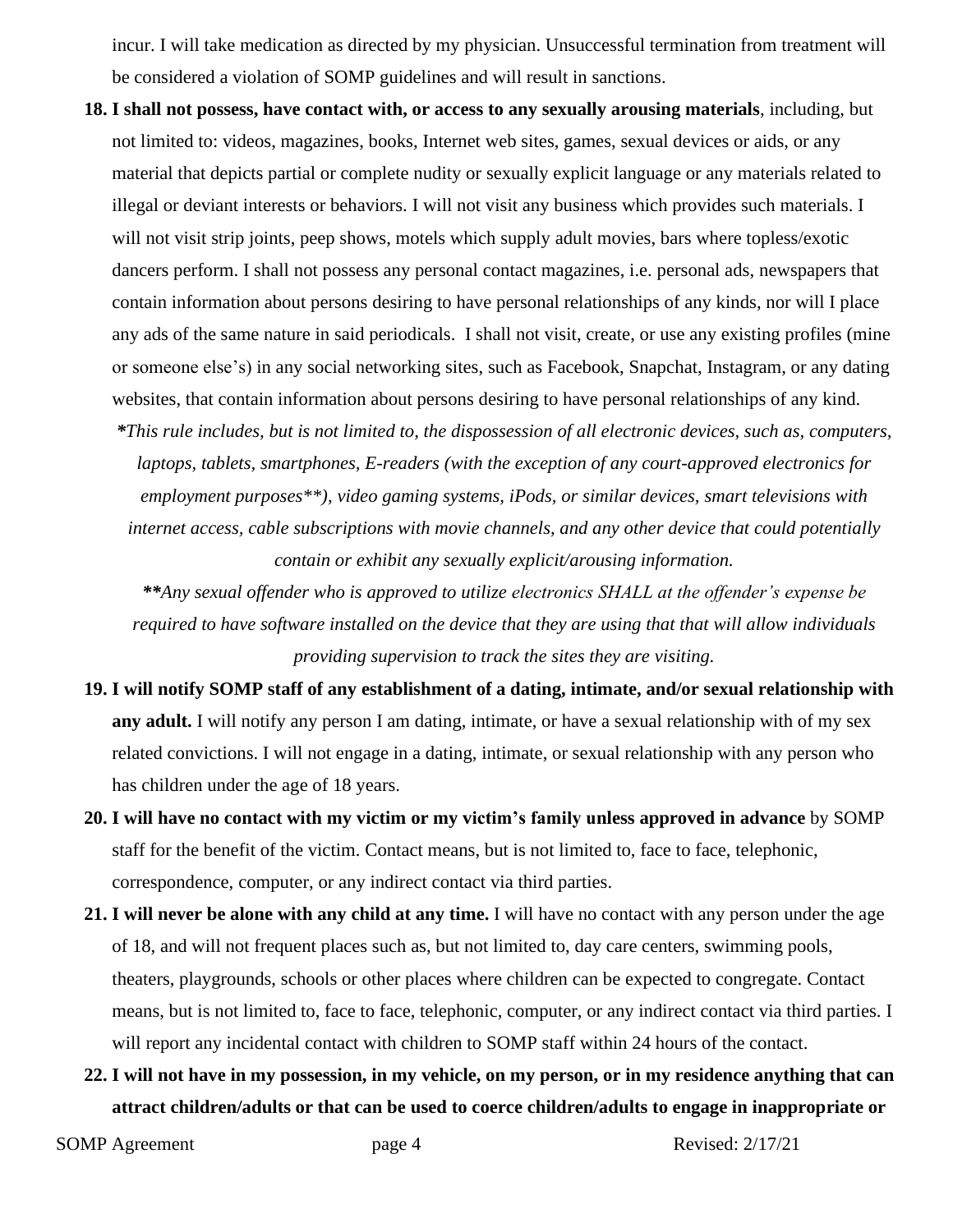incur. I will take medication as directed by my physician. Unsuccessful termination from treatment will be considered a violation of SOMP guidelines and will result in sanctions.

- **18. I shall not possess, have contact with, or access to any sexually arousing materials**, including, but not limited to: videos, magazines, books, Internet web sites, games, sexual devices or aids, or any material that depicts partial or complete nudity or sexually explicit language or any materials related to illegal or deviant interests or behaviors. I will not visit any business which provides such materials. I will not visit strip joints, peep shows, motels which supply adult movies, bars where topless/exotic dancers perform. I shall not possess any personal contact magazines, i.e. personal ads, newspapers that contain information about persons desiring to have personal relationships of any kinds, nor will I place any ads of the same nature in said periodicals. I shall not visit, create, or use any existing profiles (mine or someone else's) in any social networking sites, such as Facebook, Snapchat, Instagram, or any dating websites, that contain information about persons desiring to have personal relationships of any kind.
	- *\*This rule includes, but is not limited to, the dispossession of all electronic devices, such as, computers, laptops, tablets, smartphones, E-readers (with the exception of any court-approved electronics for employment purposes\*\*), video gaming systems, iPods, or similar devices, smart televisions with internet access, cable subscriptions with movie channels, and any other device that could potentially contain or exhibit any sexually explicit/arousing information.*

*\*\*Any sexual offender who is approved to utilize electronics SHALL at the offender's expense be required to have software installed on the device that they are using that that will allow individuals providing supervision to track the sites they are visiting.*

- **19. I will notify SOMP staff of any establishment of a dating, intimate, and/or sexual relationship with any adult.** I will notify any person I am dating, intimate, or have a sexual relationship with of my sex related convictions. I will not engage in a dating, intimate, or sexual relationship with any person who has children under the age of 18 years.
- **20. I will have no contact with my victim or my victim's family unless approved in advance** by SOMP staff for the benefit of the victim. Contact means, but is not limited to, face to face, telephonic, correspondence, computer, or any indirect contact via third parties.
- **21. I will never be alone with any child at any time.** I will have no contact with any person under the age of 18, and will not frequent places such as, but not limited to, day care centers, swimming pools, theaters, playgrounds, schools or other places where children can be expected to congregate. Contact means, but is not limited to, face to face, telephonic, computer, or any indirect contact via third parties. I will report any incidental contact with children to SOMP staff within 24 hours of the contact.
- **22. I will not have in my possession, in my vehicle, on my person, or in my residence anything that can attract children/adults or that can be used to coerce children/adults to engage in inappropriate or**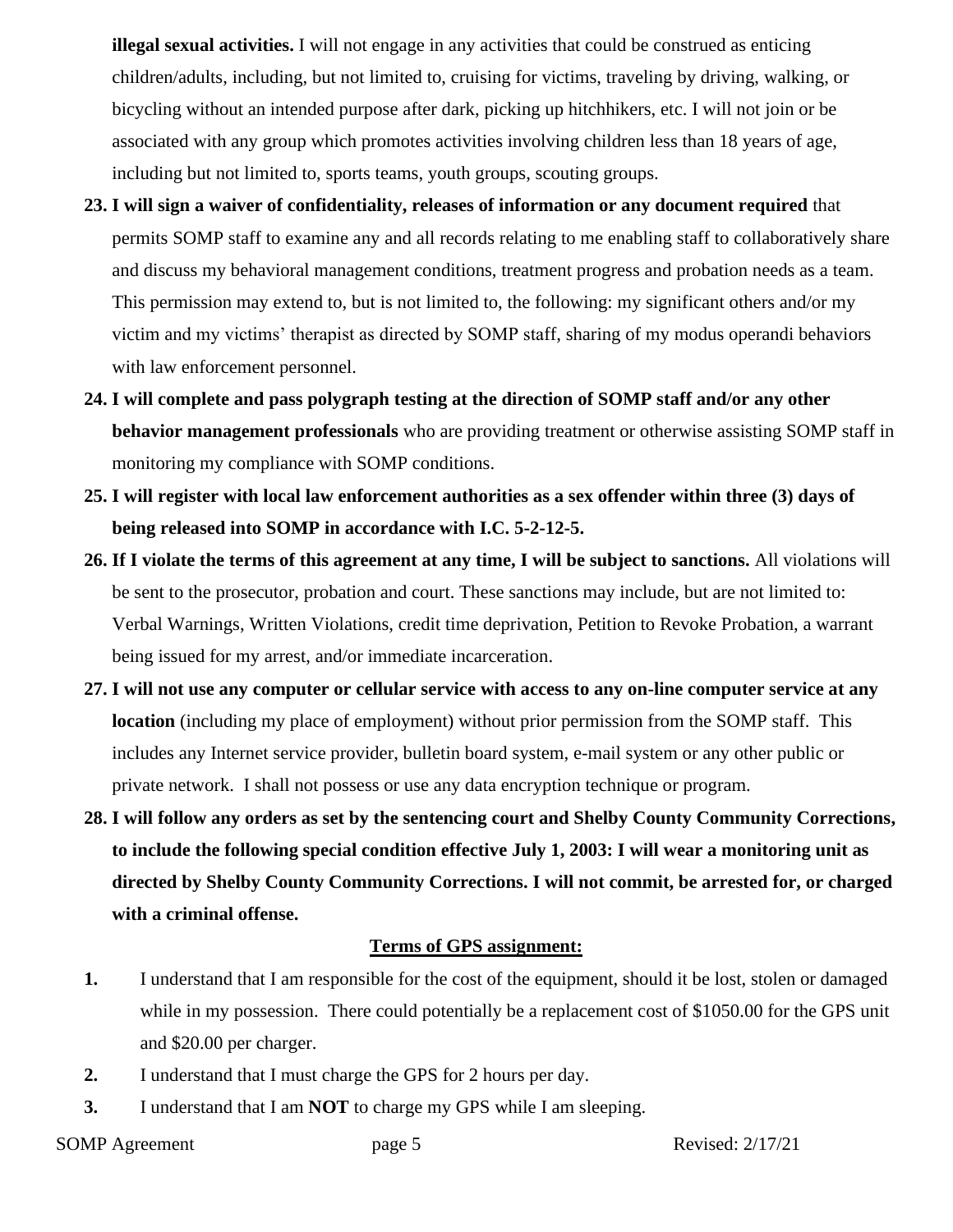**illegal sexual activities.** I will not engage in any activities that could be construed as enticing children/adults, including, but not limited to, cruising for victims, traveling by driving, walking, or bicycling without an intended purpose after dark, picking up hitchhikers, etc. I will not join or be associated with any group which promotes activities involving children less than 18 years of age, including but not limited to, sports teams, youth groups, scouting groups.

- **23. I will sign a waiver of confidentiality, releases of information or any document required** that permits SOMP staff to examine any and all records relating to me enabling staff to collaboratively share and discuss my behavioral management conditions, treatment progress and probation needs as a team. This permission may extend to, but is not limited to, the following: my significant others and/or my victim and my victims' therapist as directed by SOMP staff, sharing of my modus operandi behaviors with law enforcement personnel.
- **24. I will complete and pass polygraph testing at the direction of SOMP staff and/or any other behavior management professionals** who are providing treatment or otherwise assisting SOMP staff in monitoring my compliance with SOMP conditions.
- **25. I will register with local law enforcement authorities as a sex offender within three (3) days of being released into SOMP in accordance with I.C. 5-2-12-5.**
- **26. If I violate the terms of this agreement at any time, I will be subject to sanctions.** All violations will be sent to the prosecutor, probation and court. These sanctions may include, but are not limited to: Verbal Warnings, Written Violations, credit time deprivation, Petition to Revoke Probation, a warrant being issued for my arrest, and/or immediate incarceration.
- **27. I will not use any computer or cellular service with access to any on-line computer service at any location** (including my place of employment) without prior permission from the SOMP staff. This includes any Internet service provider, bulletin board system, e-mail system or any other public or private network. I shall not possess or use any data encryption technique or program.
- **28. I will follow any orders as set by the sentencing court and Shelby County Community Corrections, to include the following special condition effective July 1, 2003: I will wear a monitoring unit as directed by Shelby County Community Corrections. I will not commit, be arrested for, or charged with a criminal offense.**

## **Terms of GPS assignment:**

- **1.** I understand that I am responsible for the cost of the equipment, should it be lost, stolen or damaged while in my possession. There could potentially be a replacement cost of \$1050.00 for the GPS unit and \$20.00 per charger.
- **2.** I understand that I must charge the GPS for 2 hours per day.
- **3.** I understand that I am **NOT** to charge my GPS while I am sleeping.